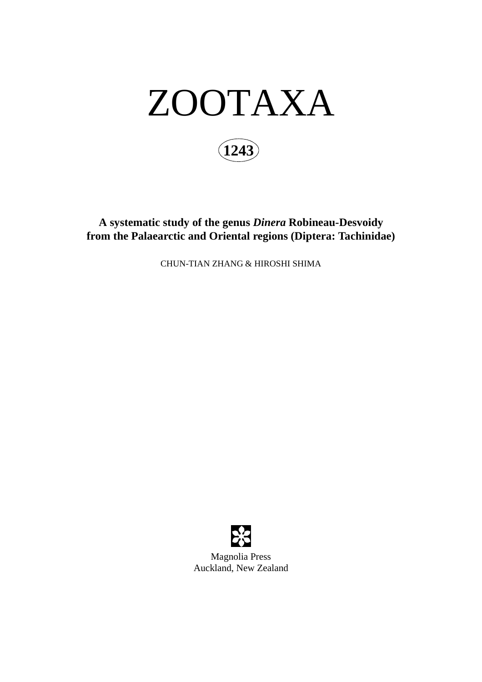

**A systematic study of the genus** *Dinera* **Robineau-Desvoidy from the Palaearctic and Oriental regions (Diptera: Tachinidae)**

CHUN-TIAN ZHANG & HIROSHI SHIMA



Magnolia Press Auckland, New Zealand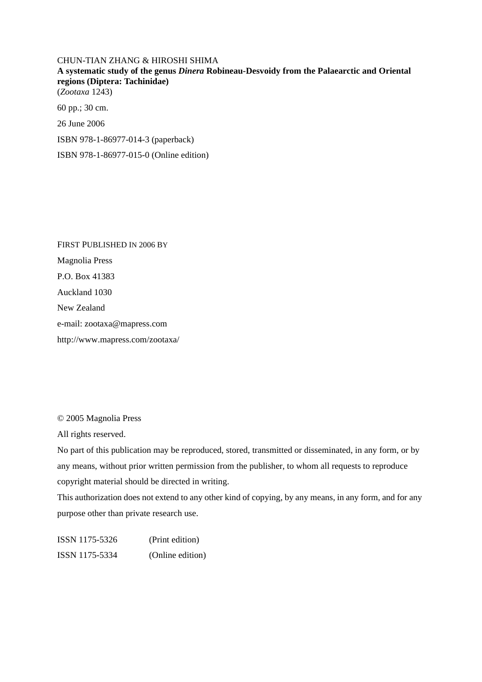CHUN-TIAN ZHANG & HIROSHI SHIMA **A systematic study of the genus** *Dinera* **Robineau-Desvoidy from the Palaearctic and Oriental regions (Diptera: Tachinidae)** (*Zootaxa* 1243) 60 pp.; 30 cm. 26 June 2006

ISBN 978-1-86977-014-3 (paperback)

ISBN 978-1-86977-015-0 (Online edition)

FIRST PUBLISHED IN 2006 BY Magnolia Press P.O. Box 41383 Auckland 1030 New Zealand e-mail: zootaxa@mapress.com http://www.mapress.com/zootaxa/

© 2005 Magnolia Press

All rights reserved.

No part of this publication may be reproduced, stored, transmitted or disseminated, in any form, or by any means, without prior written permission from the publisher, to whom all requests to reproduce copyright material should be directed in writing.

This authorization does not extend to any other kind of copying, by any means, in any form, and for any purpose other than private research use.

ISSN 1175-5326 (Print edition) ISSN 1175-5334 (Online edition)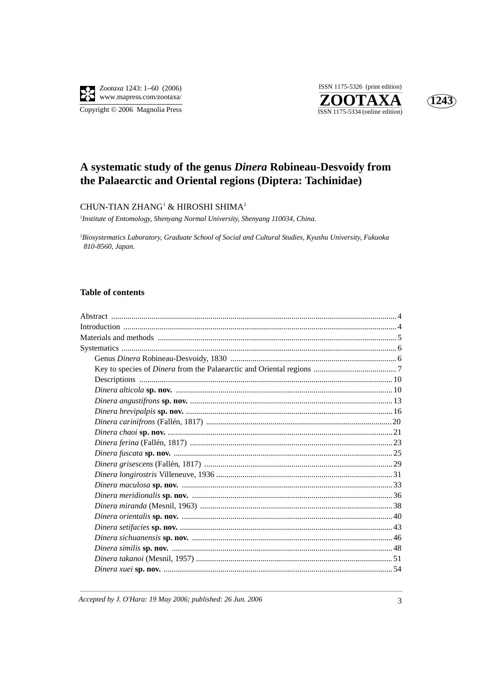

ISSN 1175-5326 (print edition) ZOOTAXA  $\overline{\text{ISSN }1175\text{-}5334 \text{ (online edition)}}$ 



# A systematic study of the genus Dinera Robineau-Desvoidy from the Palaearctic and Oriental regions (Diptera: Tachinidae)

## CHUN-TIAN ZHANG<sup>1</sup> & HIROSHI SHIMA<sup>2</sup>

<sup>1</sup>Institute of Entomology, Shenyang Normal University, Shenyang 110034, China.

<sup>2</sup>Biosystematics Laboratory, Graduate School of Social and Cultural Studies, Kyushu University, Fukuoka 810-8560, Japan.

### **Table of contents**

Accepted by J. O'Hara: 19 May 2006; published: 26 Jun. 2006